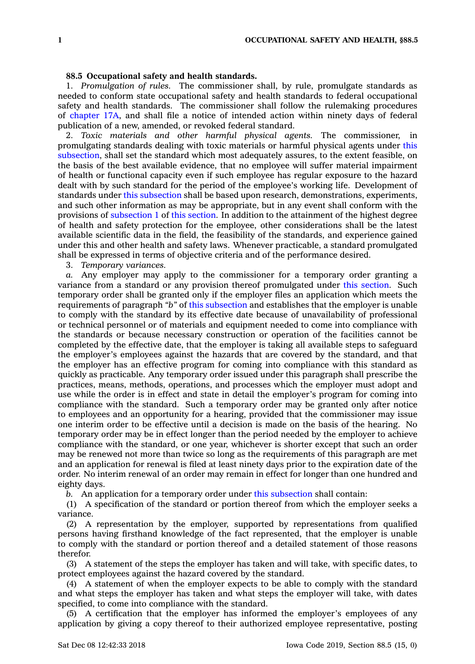## **88.5 Occupational safety and health standards.**

1. *Promulgation of rules.* The commissioner shall, by rule, promulgate standards as needed to conform state occupational safety and health standards to federal occupational safety and health standards. The commissioner shall follow the rulemaking procedures of [chapter](https://www.legis.iowa.gov/docs/code//17A.pdf) 17A, and shall file <sup>a</sup> notice of intended action within ninety days of federal publication of <sup>a</sup> new, amended, or revoked federal standard.

2. *Toxic materials and other harmful physical agents.* The commissioner, in promulgating standards dealing with toxic materials or harmful physical agents under [this](https://www.legis.iowa.gov/docs/code/88.5.pdf) [subsection](https://www.legis.iowa.gov/docs/code/88.5.pdf), shall set the standard which most adequately assures, to the extent feasible, on the basis of the best available evidence, that no employee will suffer material impairment of health or functional capacity even if such employee has regular exposure to the hazard dealt with by such standard for the period of the employee's working life. Development of standards under this [subsection](https://www.legis.iowa.gov/docs/code/88.5.pdf) shall be based upon research, demonstrations, experiments, and such other information as may be appropriate, but in any event shall conform with the provisions of [subsection](https://www.legis.iowa.gov/docs/code/88.5.pdf) 1 of this [section](https://www.legis.iowa.gov/docs/code/88.5.pdf). In addition to the attainment of the highest degree of health and safety protection for the employee, other considerations shall be the latest available scientific data in the field, the feasibility of the standards, and experience gained under this and other health and safety laws. Whenever practicable, <sup>a</sup> standard promulgated shall be expressed in terms of objective criteria and of the performance desired.

3. *Temporary variances.*

*a.* Any employer may apply to the commissioner for <sup>a</sup> temporary order granting <sup>a</sup> variance from <sup>a</sup> standard or any provision thereof promulgated under this [section](https://www.legis.iowa.gov/docs/code/88.5.pdf). Such temporary order shall be granted only if the employer files an application which meets the requirements of paragraph *"b"* of this [subsection](https://www.legis.iowa.gov/docs/code/88.5.pdf) and establishes that the employer is unable to comply with the standard by its effective date because of unavailability of professional or technical personnel or of materials and equipment needed to come into compliance with the standards or because necessary construction or operation of the facilities cannot be completed by the effective date, that the employer is taking all available steps to safeguard the employer's employees against the hazards that are covered by the standard, and that the employer has an effective program for coming into compliance with this standard as quickly as practicable. Any temporary order issued under this paragraph shall prescribe the practices, means, methods, operations, and processes which the employer must adopt and use while the order is in effect and state in detail the employer's program for coming into compliance with the standard. Such <sup>a</sup> temporary order may be granted only after notice to employees and an opportunity for <sup>a</sup> hearing, provided that the commissioner may issue one interim order to be effective until <sup>a</sup> decision is made on the basis of the hearing. No temporary order may be in effect longer than the period needed by the employer to achieve compliance with the standard, or one year, whichever is shorter except that such an order may be renewed not more than twice so long as the requirements of this paragraph are met and an application for renewal is filed at least ninety days prior to the expiration date of the order. No interim renewal of an order may remain in effect for longer than one hundred and eighty days.

*b.* An application for <sup>a</sup> temporary order under this [subsection](https://www.legis.iowa.gov/docs/code/88.5.pdf) shall contain:

(1) A specification of the standard or portion thereof from which the employer seeks <sup>a</sup> variance.

(2) A representation by the employer, supported by representations from qualified persons having firsthand knowledge of the fact represented, that the employer is unable to comply with the standard or portion thereof and <sup>a</sup> detailed statement of those reasons therefor.

(3) A statement of the steps the employer has taken and will take, with specific dates, to protect employees against the hazard covered by the standard.

(4) A statement of when the employer expects to be able to comply with the standard and what steps the employer has taken and what steps the employer will take, with dates specified, to come into compliance with the standard.

(5) A certification that the employer has informed the employer's employees of any application by giving <sup>a</sup> copy thereof to their authorized employee representative, posting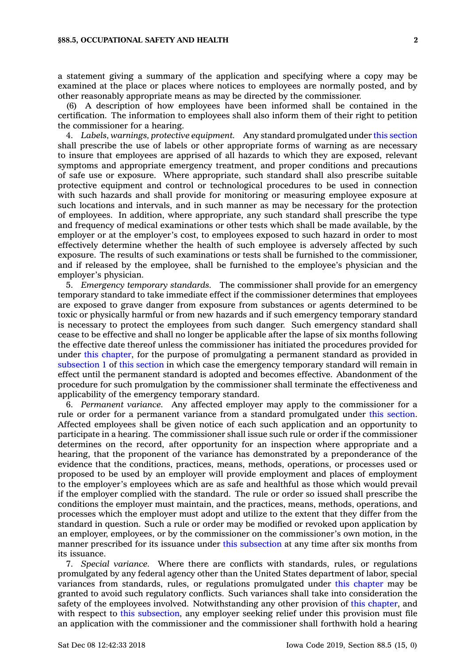<sup>a</sup> statement giving <sup>a</sup> summary of the application and specifying where <sup>a</sup> copy may be examined at the place or places where notices to employees are normally posted, and by other reasonably appropriate means as may be directed by the commissioner.

(6) A description of how employees have been informed shall be contained in the certification. The information to employees shall also inform them of their right to petition the commissioner for <sup>a</sup> hearing.

4. *Labels, warnings, protective equipment.* Any standard promulgated under this [section](https://www.legis.iowa.gov/docs/code/88.5.pdf) shall prescribe the use of labels or other appropriate forms of warning as are necessary to insure that employees are apprised of all hazards to which they are exposed, relevant symptoms and appropriate emergency treatment, and proper conditions and precautions of safe use or exposure. Where appropriate, such standard shall also prescribe suitable protective equipment and control or technological procedures to be used in connection with such hazards and shall provide for monitoring or measuring employee exposure at such locations and intervals, and in such manner as may be necessary for the protection of employees. In addition, where appropriate, any such standard shall prescribe the type and frequency of medical examinations or other tests which shall be made available, by the employer or at the employer's cost, to employees exposed to such hazard in order to most effectively determine whether the health of such employee is adversely affected by such exposure. The results of such examinations or tests shall be furnished to the commissioner, and if released by the employee, shall be furnished to the employee's physician and the employer's physician.

5. *Emergency temporary standards.* The commissioner shall provide for an emergency temporary standard to take immediate effect if the commissioner determines that employees are exposed to grave danger from exposure from substances or agents determined to be toxic or physically harmful or from new hazards and if such emergency temporary standard is necessary to protect the employees from such danger. Such emergency standard shall cease to be effective and shall no longer be applicable after the lapse of six months following the effective date thereof unless the commissioner has initiated the procedures provided for under this [chapter](https://www.legis.iowa.gov/docs/code//88.pdf), for the purpose of promulgating <sup>a</sup> permanent standard as provided in [subsection](https://www.legis.iowa.gov/docs/code/88.5.pdf) 1 of this [section](https://www.legis.iowa.gov/docs/code/88.5.pdf) in which case the emergency temporary standard will remain in effect until the permanent standard is adopted and becomes effective. Abandonment of the procedure for such promulgation by the commissioner shall terminate the effectiveness and applicability of the emergency temporary standard.

6. *Permanent variance.* Any affected employer may apply to the commissioner for <sup>a</sup> rule or order for <sup>a</sup> permanent variance from <sup>a</sup> standard promulgated under this [section](https://www.legis.iowa.gov/docs/code/88.5.pdf). Affected employees shall be given notice of each such application and an opportunity to participate in <sup>a</sup> hearing. The commissioner shall issue such rule or order if the commissioner determines on the record, after opportunity for an inspection where appropriate and <sup>a</sup> hearing, that the proponent of the variance has demonstrated by <sup>a</sup> preponderance of the evidence that the conditions, practices, means, methods, operations, or processes used or proposed to be used by an employer will provide employment and places of employment to the employer's employees which are as safe and healthful as those which would prevail if the employer complied with the standard. The rule or order so issued shall prescribe the conditions the employer must maintain, and the practices, means, methods, operations, and processes which the employer must adopt and utilize to the extent that they differ from the standard in question. Such <sup>a</sup> rule or order may be modified or revoked upon application by an employer, employees, or by the commissioner on the commissioner's own motion, in the manner prescribed for its issuance under this [subsection](https://www.legis.iowa.gov/docs/code/88.5.pdf) at any time after six months from its issuance.

7. *Special variance.* Where there are conflicts with standards, rules, or regulations promulgated by any federal agency other than the United States department of labor, special variances from standards, rules, or regulations promulgated under this [chapter](https://www.legis.iowa.gov/docs/code//88.pdf) may be granted to avoid such regulatory conflicts. Such variances shall take into consideration the safety of the employees involved. Notwithstanding any other provision of this [chapter](https://www.legis.iowa.gov/docs/code//88.pdf), and with respect to this [subsection](https://www.legis.iowa.gov/docs/code/88.5.pdf), any employer seeking relief under this provision must file an application with the commissioner and the commissioner shall forthwith hold <sup>a</sup> hearing